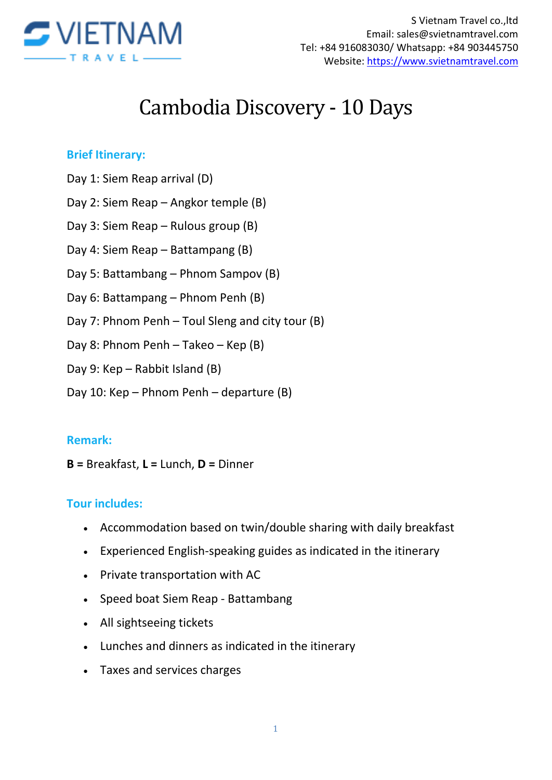

# Cambodia Discovery - 10 Days

#### **Brief Itinerary:**

- Day 1: Siem Reap arrival (D)
- Day 2: Siem Reap Angkor temple (B)
- Day 3: Siem Reap Rulous group (B)
- Day 4: Siem Reap Battampang (B)
- Day 5: Battambang Phnom Sampov (B)
- Day 6: Battampang Phnom Penh (B)
- Day 7: Phnom Penh Toul Sleng and city tour (B)
- Day 8: Phnom Penh Takeo Kep (B)
- Day 9: Kep Rabbit Island (B)
- Day 10: Kep Phnom Penh departure (B)

#### **Remark:**

**B =** Breakfast, **L =** Lunch, **D =** Dinner

#### **Tour includes:**

- Accommodation based on twin/double sharing with daily breakfast
- Experienced English-speaking guides as indicated in the itinerary
- Private transportation with AC
- Speed boat Siem Reap Battambang
- All sightseeing tickets
- Lunches and dinners as indicated in the itinerary
- Taxes and services charges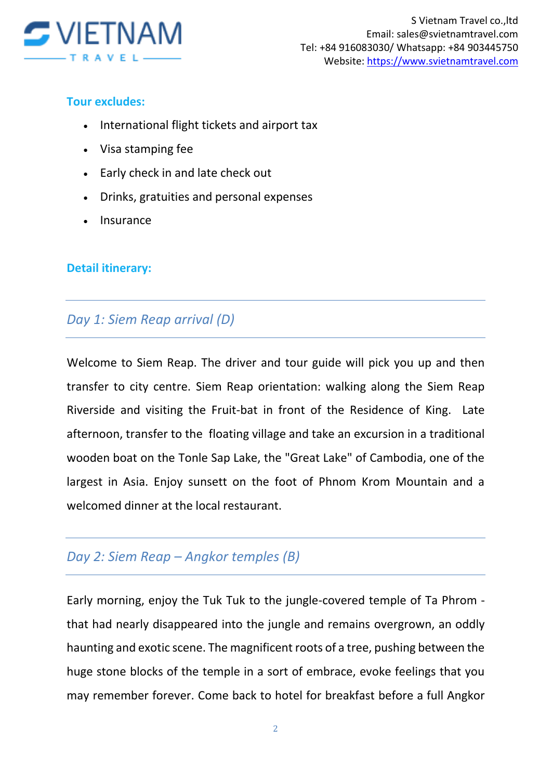

#### **Tour excludes:**

- International flight tickets and airport tax
- Visa stamping fee
- Early check in and late check out
- Drinks, gratuities and personal expenses
- Insurance

#### **Detail itinerary:**

## *Day 1: Siem Reap arrival (D)*

Welcome to Siem Reap. The driver and tour guide will pick you up and then transfer to city centre. Siem Reap orientation: walking along the Siem Reap Riverside and visiting the Fruit-bat in front of the Residence of King. Late afternoon, transfer to the floating village and take an excursion in a traditional wooden boat on the Tonle Sap Lake, the "Great Lake" of Cambodia, one of the largest in Asia. Enjoy sunsett on the foot of Phnom Krom Mountain and a welcomed dinner at the local restaurant.

### *Day 2: Siem Reap – Angkor temples (B)*

Early morning, enjoy the Tuk Tuk to the jungle-covered temple of Ta Phrom that had nearly disappeared into the jungle and remains overgrown, an oddly haunting and exotic scene. The magnificent roots of a tree, pushing between the huge stone blocks of the temple in a sort of embrace, evoke feelings that you may remember forever. Come back to hotel for breakfast before a full Angkor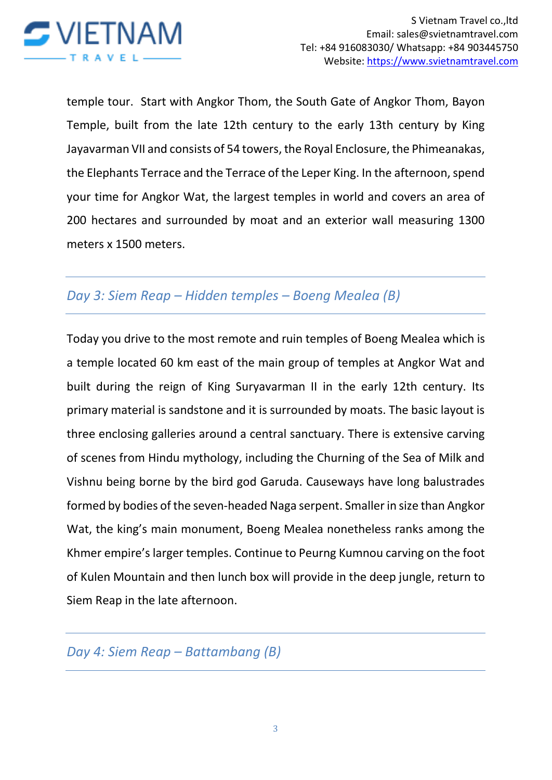

temple tour. Start with Angkor Thom, the South Gate of Angkor Thom, Bayon Temple, built from the late 12th century to the early 13th century by King Jayavarman VII and consists of 54 towers, the Royal Enclosure, the Phimeanakas, the Elephants Terrace and the Terrace of the Leper King. In the afternoon, spend your time for Angkor Wat, the largest temples in world and covers an area of 200 hectares and surrounded by moat and an exterior wall measuring 1300 meters x 1500 meters.

## *Day 3: Siem Reap – Hidden temples – Boeng Mealea (B)*

Today you drive to the most remote and ruin temples of Boeng Mealea which is a temple located 60 km east of the main group of temples at Angkor Wat and built during the reign of King Suryavarman II in the early 12th century. Its primary material is sandstone and it is surrounded by moats. The basic layout is three enclosing galleries around a central sanctuary. There is extensive carving of scenes from Hindu mythology, including the Churning of the Sea of Milk and Vishnu being borne by the bird god Garuda. Causeways have long balustrades formed by bodies of the seven-headed Naga serpent. Smaller in size than Angkor Wat, the king's main monument, Boeng Mealea nonetheless ranks among the Khmer empire's larger temples. Continue to Peurng Kumnou carving on the foot of Kulen Mountain and then lunch box will provide in the deep jungle, return to Siem Reap in the late afternoon.

## *Day 4: Siem Reap – Battambang (B)*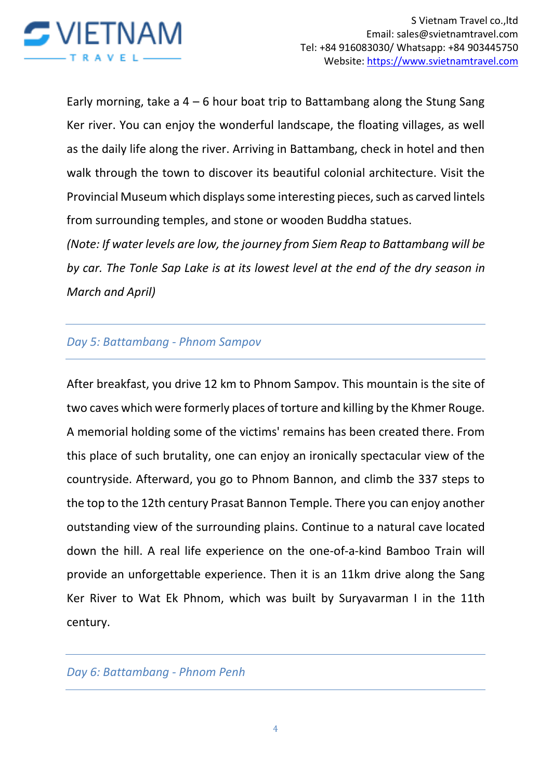

Early morning, take a  $4 - 6$  hour boat trip to Battambang along the Stung Sang Ker river. You can enjoy the wonderful landscape, the floating villages, as well as the daily life along the river. Arriving in Battambang, check in hotel and then walk through the town to discover its beautiful colonial architecture. Visit the Provincial Museum which displays some interesting pieces, such as carved lintels from surrounding temples, and stone or wooden Buddha statues.

*(Note: If water levels are low, the journey from Siem Reap to Battambang will be by car. The Tonle Sap Lake is at its lowest level at the end of the dry season in March and April)*

#### *Day 5: Battambang - Phnom Sampov*

After breakfast, you drive 12 km to Phnom Sampov. This mountain is the site of two caves which were formerly places of torture and killing by the Khmer Rouge. A memorial holding some of the victims' remains has been created there. From this place of such brutality, one can enjoy an ironically spectacular view of the countryside. Afterward, you go to Phnom Bannon, and climb the 337 steps to the top to the 12th century Prasat Bannon Temple. There you can enjoy another outstanding view of the surrounding plains. Continue to a natural cave located down the hill. A real life experience on the one-of-a-kind Bamboo Train will provide an unforgettable experience. Then it is an 11km drive along the Sang Ker River to Wat Ek Phnom, which was built by Suryavarman I in the 11th century.

#### *Day 6: Battambang - Phnom Penh*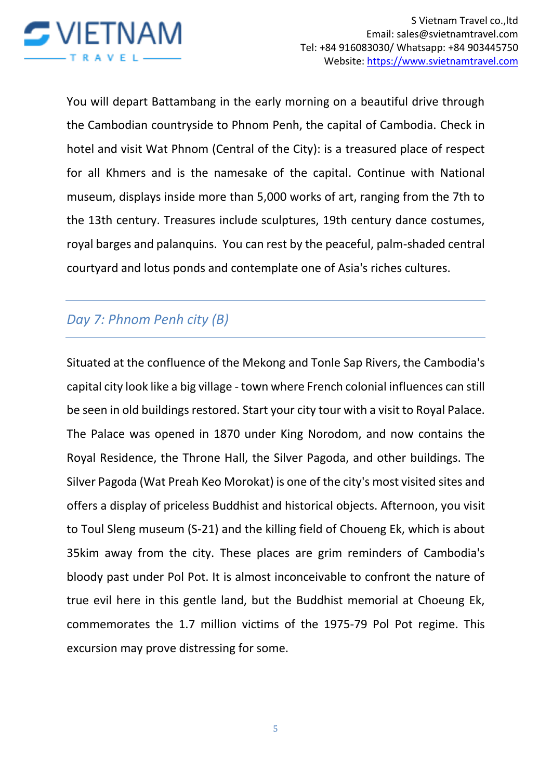

You will depart Battambang in the early morning on a beautiful drive through the Cambodian countryside to Phnom Penh, the capital of Cambodia. Check in hotel and visit Wat Phnom (Central of the City): is a treasured place of respect for all Khmers and is the namesake of the capital. Continue with National museum, displays inside more than 5,000 works of art, ranging from the 7th to the 13th century. Treasures include sculptures, 19th century dance costumes, royal barges and palanquins. You can rest by the peaceful, palm-shaded central courtyard and lotus ponds and contemplate one of Asia's riches cultures.

## *Day 7: Phnom Penh city (B)*

Situated at the confluence of the Mekong and Tonle Sap Rivers, the Cambodia's capital city look like a big village - town where French colonial influences can still be seen in old buildings restored. Start your city tour with a visit to Royal Palace. The Palace was opened in 1870 under King Norodom, and now contains the Royal Residence, the Throne Hall, the Silver Pagoda, and other buildings. The Silver Pagoda (Wat Preah Keo Morokat) is one of the city's most visited sites and offers a display of priceless Buddhist and historical objects. Afternoon, you visit to Toul Sleng museum (S-21) and the killing field of Choueng Ek, which is about 35kim away from the city. These places are grim reminders of Cambodia's bloody past under Pol Pot. It is almost inconceivable to confront the nature of true evil here in this gentle land, but the Buddhist memorial at Choeung Ek, commemorates the 1.7 million victims of the 1975-79 Pol Pot regime. This excursion may prove distressing for some.